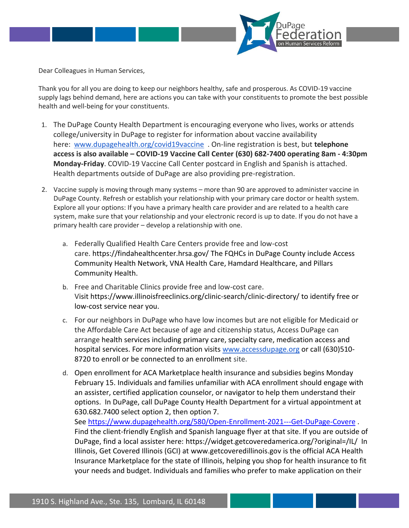

Dear Colleagues in Human Services,

Thank you for all you are doing to keep our neighbors healthy, safe and prosperous. As COVID-19 vaccine supply lags behind demand, here are actions you can take with your constituents to promote the best possible health and well-being for your constituents.

- 1. The DuPage County Health Department is encouraging everyone who lives, works or attends college/university in DuPage to register for information about vaccine availability here: [www.dupagehealth.org/covid19vaccine](http://www.dupagehealth.org/covid19vaccine) . On-line registration is best, but **telephone access is also available – COVID-19 Vaccine Call Center (630) 682-7400 operating 8am - 4:30pm Monday-Friday**. COVID-19 Vaccine Call Center postcard in English and Spanish is attached. Health departments outside of DuPage are also providing pre-registration.
- 2. Vaccine supply is moving through many systems more than 90 are approved to administer vaccine in DuPage County. Refresh or establish your relationship with your primary care doctor or health system. Explore all your options: If you have a primary health care provider and are related to a health care system, make sure that your relationship and your electronic record is up to date. If you do not have a primary health care provider – develop a relationship with one.
	- a. Federally Qualified Health Care Centers provide free and low-cost care. https://findahealthcenter.hrsa.gov/ The FQHCs in DuPage County include Access Community Health Network, VNA Health Care, Hamdard Healthcare, and Pillars Community Health.
	- b. Free and Charitable Clinics provide free and low-cost care. Visit https://www.illinoisfreeclinics.org/clinic-search/clinic-directory/ to identify free or low-cost service near you.
	- c. For our neighbors in DuPage who have low incomes but are not eligible for Medicaid or the Affordable Care Act because of age and citizenship status, Access DuPage can arrange health services including primary care, specialty care, medication access and hospital services. For more information visits [www.accessdupage.org](http://www.accessdupage.org/) or call (630)510- 8720 to enroll or be connected to an enrollment site.
	- d. Open enrollment for ACA Marketplace health insurance and subsidies begins Monday February 15. Individuals and families unfamiliar with ACA enrollment should engage with an assister, certified application counselor, or navigator to help them understand their options. In DuPage, call DuPage County Health Department for a virtual appointment at 630.682.7400 select option 2, then option 7.

See <https://www.dupagehealth.org/580/Open-Enrollment-2021---Get-DuPage-Covere> . Find the client-friendly English and Spanish language flyer at that site. If you are outside of DuPage, find a local assister here: https://widget.getcoveredamerica.org/?original=/IL/ In Illinois, Get Covered Illinois (GCI) at www.getcoveredillinois.gov is the official ACA Health Insurance Marketplace for the state of Illinois, helping you shop for health insurance to fit your needs and budget. Individuals and families who prefer to make application on their